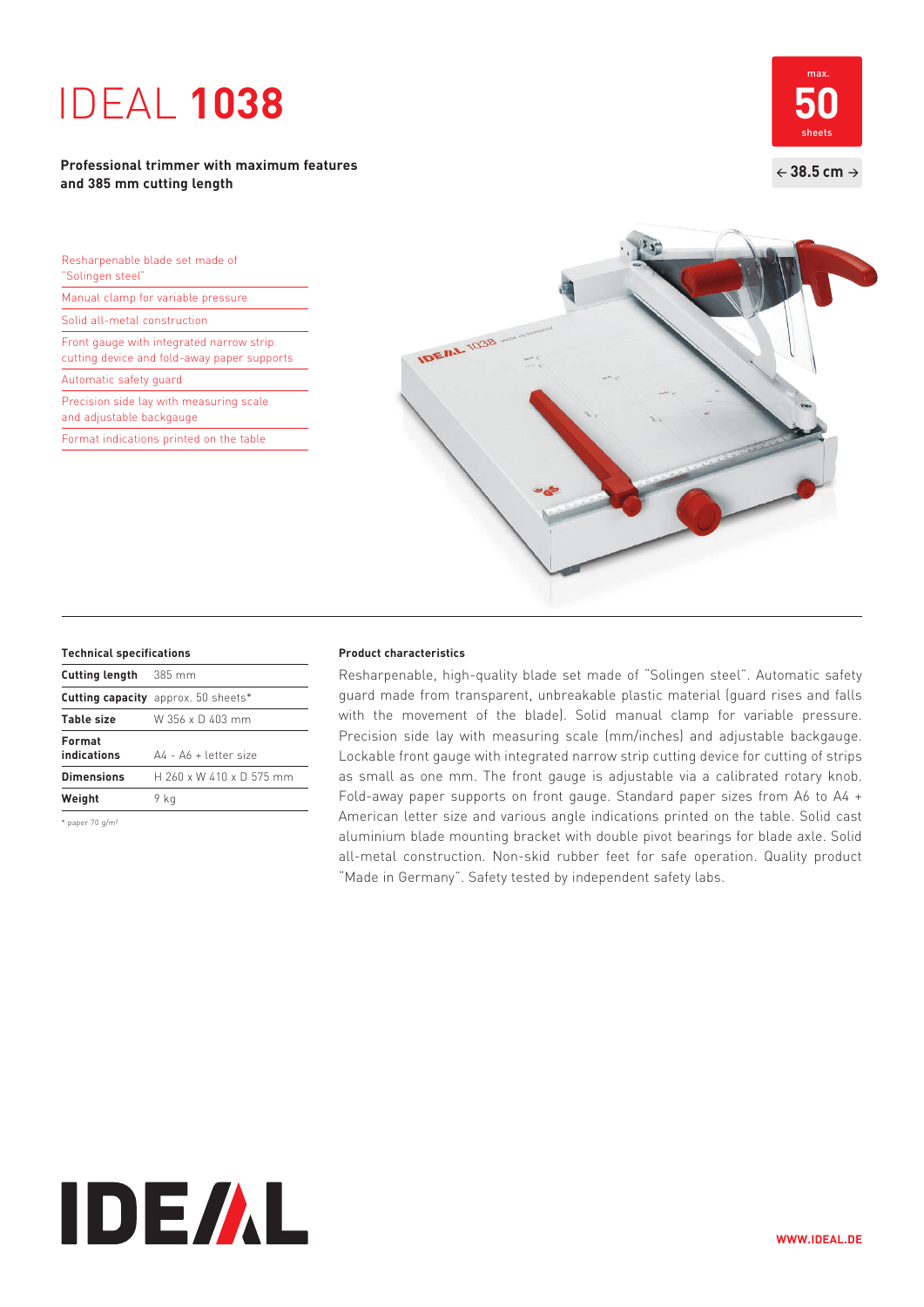# IDEAL **1038**

# **Professional trimmer with maximum features and 385 mm cutting length**



Resharpenable blade set made of "Solingen steel" Manual clamp for variable pressure Solid all-metal construction Front gauge with integrated narrow strip cutting device and fold-away paper supports Automatic safety guard

Precision side lay with measuring scale and adjustable backgauge

Format indications printed on the table



| <b>Cutting length</b> 385 mm |                                               |
|------------------------------|-----------------------------------------------|
|                              | <b>Cutting capacity</b> approx. 50 sheets*    |
| <b>Table size</b>            | W 356 x D 403 mm                              |
| Format<br>indications        | $\Delta\Delta$ - $\Delta\Delta$ + letter size |
| <b>Dimensions</b>            | H 260 x W 410 x D 575 mm                      |
| Weiaht                       | 9 ka                                          |

\* paper 70 g/m²

# **Technical specifications Product characteristics**

 Resharpenable, high-quality blade set made of "Solingen steel". Automatic safety guard made from transparent, unbreakable plastic material (guard rises and falls with the movement of the blade). Solid manual clamp for variable pressure. Precision side lay with measuring scale (mm/inches) and adjustable backgauge. Lockable front gauge with integrated narrow strip cutting device for cutting of strips as small as one mm. The front gauge is adjustable via a calibrated rotary knob. Fold-away paper supports on front gauge. Standard paper sizes from A6 to A4 + American letter size and various angle indications printed on the table. Solid cast aluminium blade mounting bracket with double pivot bearings for blade axle. Solid all-metal construction. Non-skid rubber feet for safe operation. Quality product "Made in Germany". Safety tested by independent safety labs.